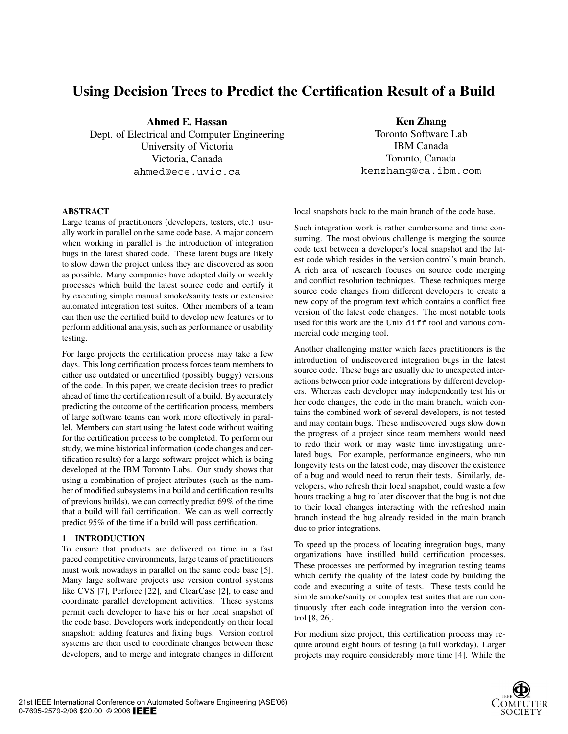# **Using Decision Trees to Predict the Certification Result of a Build**

**Ahmed E. Hassan** Dept. of Electrical and Computer Engineering University of Victoria Victoria, Canada ahmed@ece.uvic.ca

**Ken Zhang** Toronto Software Lab IBM Canada Toronto, Canada kenzhang@ca.ibm.com

## **ABSTRACT**

Large teams of practitioners (developers, testers, etc.) usually work in parallel on the same code base. A major concern when working in parallel is the introduction of integration bugs in the latest shared code. These latent bugs are likely to slow down the project unless they are discovered as soon as possible. Many companies have adopted daily or weekly processes which build the latest source code and certify it by executing simple manual smoke/sanity tests or extensive automated integration test suites. Other members of a team can then use the certified build to develop new features or to perform additional analysis, such as performance or usability testing.

For large projects the certification process may take a few days. This long certification process forces team members to either use outdated or uncertified (possibly buggy) versions of the code. In this paper, we create decision trees to predict ahead of time the certification result of a build. By accurately predicting the outcome of the certification process, members of large software teams can work more effectively in parallel. Members can start using the latest code without waiting for the certification process to be completed. To perform our study, we mine historical information (code changes and certification results) for a large software project which is being developed at the IBM Toronto Labs. Our study shows that using a combination of project attributes (such as the number of modified subsystems in a build and certification results of previous builds), we can correctly predict 69% of the time that a build will fail certification. We can as well correctly predict 95% of the time if a build will pass certification.

### **1 INTRODUCTION**

To ensure that products are delivered on time in a fast paced competitive environments, large teams of practitioners must work nowadays in parallel on the same code base [5]. Many large software projects use version control systems like CVS [7], Perforce [22], and ClearCase [2], to ease and coordinate parallel development activities. These systems permit each developer to have his or her local snapshot of the code base. Developers work independently on their local snapshot: adding features and fixing bugs. Version control systems are then used to coordinate changes between these developers, and to merge and integrate changes in different local snapshots back to the main branch of the code base.

Such integration work is rather cumbersome and time consuming. The most obvious challenge is merging the source code text between a developer's local snapshot and the latest code which resides in the version control's main branch. A rich area of research focuses on source code merging and conflict resolution techniques. These techniques merge source code changes from different developers to create a new copy of the program text which contains a conflict free version of the latest code changes. The most notable tools used for this work are the Unix diff tool and various commercial code merging tool.

Another challenging matter which faces practitioners is the introduction of undiscovered integration bugs in the latest source code. These bugs are usually due to unexpected interactions between prior code integrations by different developers. Whereas each developer may independently test his or her code changes, the code in the main branch, which contains the combined work of several developers, is not tested and may contain bugs. These undiscovered bugs slow down the progress of a project since team members would need to redo their work or may waste time investigating unrelated bugs. For example, performance engineers, who run longevity tests on the latest code, may discover the existence of a bug and would need to rerun their tests. Similarly, developers, who refresh their local snapshot, could waste a few hours tracking a bug to later discover that the bug is not due to their local changes interacting with the refreshed main branch instead the bug already resided in the main branch due to prior integrations.

To speed up the process of locating integration bugs, many organizations have instilled build certification processes. These processes are performed by integration testing teams which certify the quality of the latest code by building the code and executing a suite of tests. These tests could be simple smoke/sanity or complex test suites that are run continuously after each code integration into the version control [8, 26].

For medium size project, this certification process may require around eight hours of testing (a full workday). Larger projects may require considerably more time [4]. While the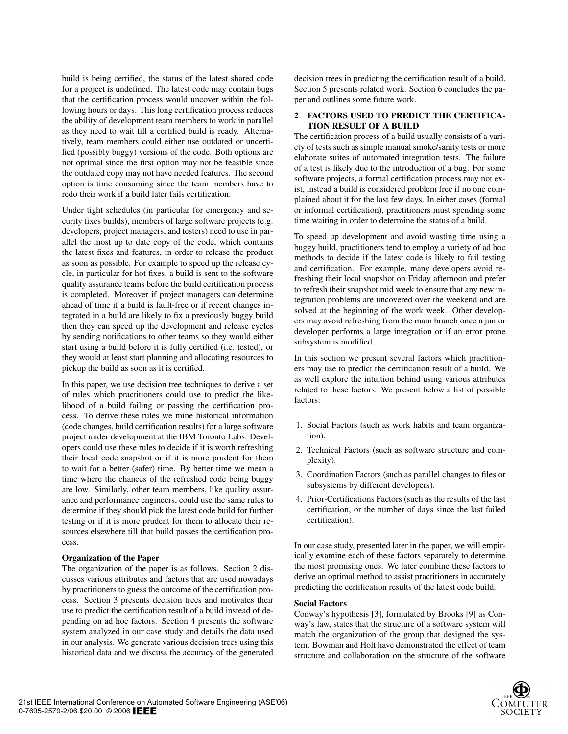build is being certified, the status of the latest shared code for a project is undefined. The latest code may contain bugs that the certification process would uncover within the following hours or days. This long certification process reduces the ability of development team members to work in parallel as they need to wait till a certified build is ready. Alternatively, team members could either use outdated or uncertified (possibly buggy) versions of the code. Both options are not optimal since the first option may not be feasible since the outdated copy may not have needed features. The second option is time consuming since the team members have to redo their work if a build later fails certification.

Under tight schedules (in particular for emergency and security fixes builds), members of large software projects (e.g. developers, project managers, and testers) need to use in parallel the most up to date copy of the code, which contains the latest fixes and features, in order to release the product as soon as possible. For example to speed up the release cycle, in particular for hot fixes, a build is sent to the software quality assurance teams before the build certification process is completed. Moreover if project managers can determine ahead of time if a build is fault-free or if recent changes integrated in a build are likely to fix a previously buggy build then they can speed up the development and release cycles by sending notifications to other teams so they would either start using a build before it is fully certified (i.e. tested), or they would at least start planning and allocating resources to pickup the build as soon as it is certified.

In this paper, we use decision tree techniques to derive a set of rules which practitioners could use to predict the likelihood of a build failing or passing the certification process. To derive these rules we mine historical information (code changes, build certification results) for a large software project under development at the IBM Toronto Labs. Developers could use these rules to decide if it is worth refreshing their local code snapshot or if it is more prudent for them to wait for a better (safer) time. By better time we mean a time where the chances of the refreshed code being buggy are low. Similarly, other team members, like quality assurance and performance engineers, could use the same rules to determine if they should pick the latest code build for further testing or if it is more prudent for them to allocate their resources elsewhere till that build passes the certification process.

#### **Organization of the Paper**

The organization of the paper is as follows. Section 2 discusses various attributes and factors that are used nowadays by practitioners to guess the outcome of the certification process. Section 3 presents decision trees and motivates their use to predict the certification result of a build instead of depending on ad hoc factors. Section 4 presents the software system analyzed in our case study and details the data used in our analysis. We generate various decision trees using this historical data and we discuss the accuracy of the generated

decision trees in predicting the certification result of a build. Section 5 presents related work. Section 6 concludes the paper and outlines some future work.

#### **2 FACTORS USED TO PREDICT THE CERTIFICA-TION RESULT OF A BUILD**

The certification process of a build usually consists of a variety of tests such as simple manual smoke/sanity tests or more elaborate suites of automated integration tests. The failure of a test is likely due to the introduction of a bug. For some software projects, a formal certification process may not exist, instead a build is considered problem free if no one complained about it for the last few days. In either cases (formal or informal certification), practitioners must spending some time waiting in order to determine the status of a build.

To speed up development and avoid wasting time using a buggy build, practitioners tend to employ a variety of ad hoc methods to decide if the latest code is likely to fail testing and certification. For example, many developers avoid refreshing their local snapshot on Friday afternoon and prefer to refresh their snapshot mid week to ensure that any new integration problems are uncovered over the weekend and are solved at the beginning of the work week. Other developers may avoid refreshing from the main branch once a junior developer performs a large integration or if an error prone subsystem is modified.

In this section we present several factors which practitioners may use to predict the certification result of a build. We as well explore the intuition behind using various attributes related to these factors. We present below a list of possible factors:

- 1. Social Factors (such as work habits and team organization).
- 2. Technical Factors (such as software structure and complexity).
- 3. Coordination Factors (such as parallel changes to files or subsystems by different developers).
- 4. Prior-Certifications Factors (such as the results of the last certification, or the number of days since the last failed certification).

In our case study, presented later in the paper, we will empirically examine each of these factors separately to determine the most promising ones. We later combine these factors to derive an optimal method to assist practitioners in accurately predicting the certification results of the latest code build.

#### **Social Factors**

Conway's hypothesis [3], formulated by Brooks [9] as Conway's law, states that the structure of a software system will match the organization of the group that designed the system. Bowman and Holt have demonstrated the effect of team structure and collaboration on the structure of the software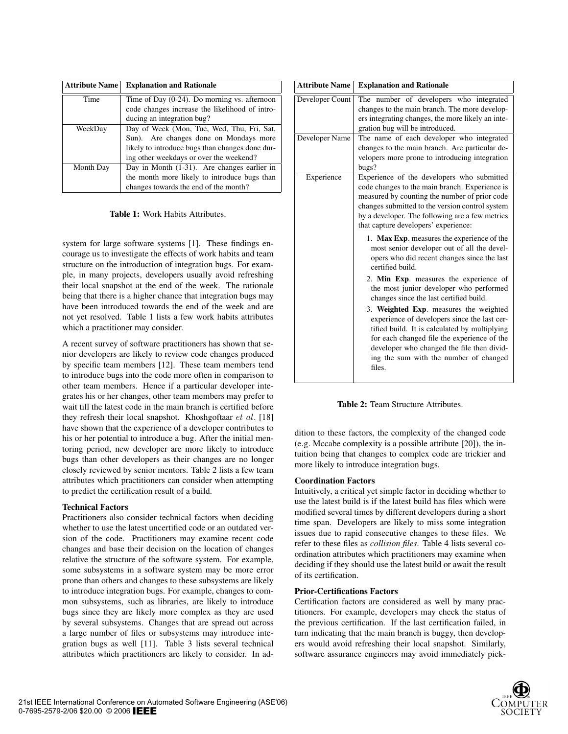| <b>Attribute Name</b> | <b>Explanation and Rationale</b>                |  |  |  |  |
|-----------------------|-------------------------------------------------|--|--|--|--|
| Time                  | Time of Day $(0-24)$ . Do morning vs. afternoon |  |  |  |  |
|                       | code changes increase the likelihood of intro-  |  |  |  |  |
|                       | ducing an integration bug?                      |  |  |  |  |
| WeekDay               | Day of Week (Mon, Tue, Wed, Thu, Fri, Sat,      |  |  |  |  |
|                       | Sun). Are changes done on Mondays more          |  |  |  |  |
|                       | likely to introduce bugs than changes done dur- |  |  |  |  |
|                       | ing other weekdays or over the weekend?         |  |  |  |  |
| Month Day             | Day in Month (1-31). Are changes earlier in     |  |  |  |  |
|                       | the month more likely to introduce bugs than    |  |  |  |  |
|                       | changes towards the end of the month?           |  |  |  |  |

**Table 1:** Work Habits Attributes.

system for large software systems [1]. These findings encourage us to investigate the effects of work habits and team structure on the introduction of integration bugs. For example, in many projects, developers usually avoid refreshing their local snapshot at the end of the week. The rationale being that there is a higher chance that integration bugs may have been introduced towards the end of the week and are not yet resolved. Table 1 lists a few work habits attributes which a practitioner may consider.

A recent survey of software practitioners has shown that senior developers are likely to review code changes produced by specific team members [12]. These team members tend to introduce bugs into the code more often in comparison to other team members. Hence if a particular developer integrates his or her changes, other team members may prefer to wait till the latest code in the main branch is certified before they refresh their local snapshot. Khoshgoftaar et al. [18] have shown that the experience of a developer contributes to his or her potential to introduce a bug. After the initial mentoring period, new developer are more likely to introduce bugs than other developers as their changes are no longer closely reviewed by senior mentors. Table 2 lists a few team attributes which practitioners can consider when attempting to predict the certification result of a build.

# **Technical Factors**

Practitioners also consider technical factors when deciding whether to use the latest uncertified code or an outdated version of the code. Practitioners may examine recent code changes and base their decision on the location of changes relative the structure of the software system. For example, some subsystems in a software system may be more error prone than others and changes to these subsystems are likely to introduce integration bugs. For example, changes to common subsystems, such as libraries, are likely to introduce bugs since they are likely more complex as they are used by several subsystems. Changes that are spread out across a large number of files or subsystems may introduce integration bugs as well [11]. Table 3 lists several technical attributes which practitioners are likely to consider. In ad-

| <b>Attribute Name</b> | <b>Explanation and Rationale</b>                                                                                                                                                                                                                                                                                                                                                                                         |  |  |  |
|-----------------------|--------------------------------------------------------------------------------------------------------------------------------------------------------------------------------------------------------------------------------------------------------------------------------------------------------------------------------------------------------------------------------------------------------------------------|--|--|--|
| Developer Count       | The number of developers who integrated<br>changes to the main branch. The more develop-<br>ers integrating changes, the more likely an inte-<br>gration bug will be introduced.                                                                                                                                                                                                                                         |  |  |  |
| Developer Name        | The name of each developer who integrated<br>changes to the main branch. Are particular de-<br>velopers more prone to introducing integration<br>bugs?                                                                                                                                                                                                                                                                   |  |  |  |
| Experience            | Experience of the developers who submitted<br>code changes to the main branch. Experience is<br>measured by counting the number of prior code<br>changes submitted to the version control system<br>by a developer. The following are a few metrics<br>that capture developers' experience:                                                                                                                              |  |  |  |
|                       | 1. Max Exp. measures the experience of the<br>most senior developer out of all the devel-<br>opers who did recent changes since the last<br>certified build.                                                                                                                                                                                                                                                             |  |  |  |
|                       | 2. Min Exp. measures the experience of<br>the most junior developer who performed<br>changes since the last certified build.<br>3. Weighted Exp. measures the weighted<br>experience of developers since the last cer-<br>tified build. It is calculated by multiplying<br>for each changed file the experience of the<br>developer who changed the file then divid-<br>ing the sum with the number of changed<br>files. |  |  |  |

**Table 2:** Team Structure Attributes.

dition to these factors, the complexity of the changed code (e.g. Mccabe complexity is a possible attribute [20]), the intuition being that changes to complex code are trickier and more likely to introduce integration bugs.

# **Coordination Factors**

Intuitively, a critical yet simple factor in deciding whether to use the latest build is if the latest build has files which were modified several times by different developers during a short time span. Developers are likely to miss some integration issues due to rapid consecutive changes to these files. We refer to these files as *collision files*. Table 4 lists several coordination attributes which practitioners may examine when deciding if they should use the latest build or await the result of its certification.

# **Prior-Certifications Factors**

Certification factors are considered as well by many practitioners. For example, developers may check the status of the previous certification. If the last certification failed, in turn indicating that the main branch is buggy, then developers would avoid refreshing their local snapshot. Similarly, software assurance engineers may avoid immediately pick-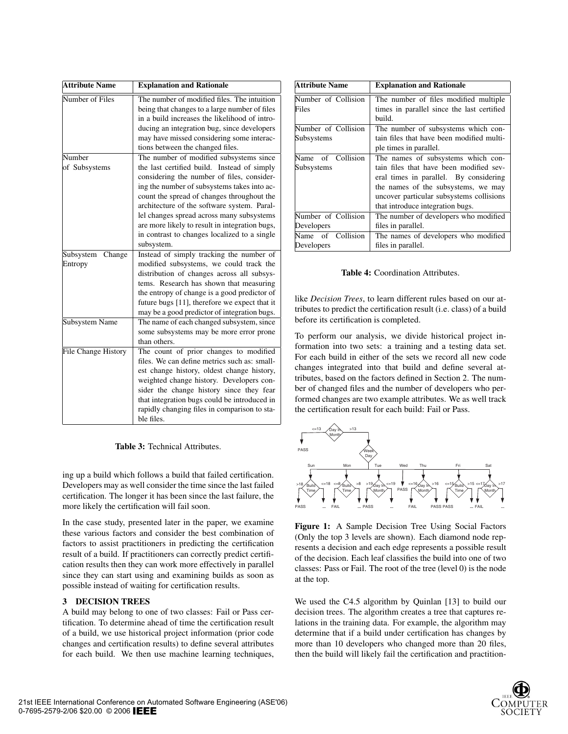| <b>Attribute Name</b> | <b>Explanation and Rationale</b>               |  |  |  |
|-----------------------|------------------------------------------------|--|--|--|
| Number of Files       | The number of modified files. The intuition    |  |  |  |
|                       | being that changes to a large number of files  |  |  |  |
|                       | in a build increases the likelihood of intro-  |  |  |  |
|                       | ducing an integration bug, since developers    |  |  |  |
|                       | may have missed considering some interac-      |  |  |  |
|                       | tions between the changed files.               |  |  |  |
| Number                | The number of modified subsystems since        |  |  |  |
| of Subsystems         | the last certified build. Instead of simply    |  |  |  |
|                       | considering the number of files, consider-     |  |  |  |
|                       | ing the number of subsystems takes into ac-    |  |  |  |
|                       | count the spread of changes throughout the     |  |  |  |
|                       | architecture of the software system. Paral-    |  |  |  |
|                       | lel changes spread across many subsystems      |  |  |  |
|                       | are more likely to result in integration bugs, |  |  |  |
|                       | in contrast to changes localized to a single   |  |  |  |
|                       | subsystem.                                     |  |  |  |
| Subsystem<br>Change   | Instead of simply tracking the number of       |  |  |  |
| Entropy               | modified subsystems, we could track the        |  |  |  |
|                       | distribution of changes across all subsys-     |  |  |  |
|                       | tems. Research has shown that measuring        |  |  |  |
|                       | the entropy of change is a good predictor of   |  |  |  |
|                       | future bugs [11], therefore we expect that it  |  |  |  |
|                       | may be a good predictor of integration bugs.   |  |  |  |
| Subsystem Name        | The name of each changed subsystem, since      |  |  |  |
|                       | some subsystems may be more error prone        |  |  |  |
|                       | than others.                                   |  |  |  |
| File Change History   | The count of prior changes to modified         |  |  |  |
|                       | files. We can define metrics such as: small-   |  |  |  |
|                       | est change history, oldest change history,     |  |  |  |
|                       | weighted change history. Developers con-       |  |  |  |
|                       | sider the change history since they fear       |  |  |  |
|                       | that integration bugs could be introduced in   |  |  |  |
|                       | rapidly changing files in comparison to sta-   |  |  |  |
|                       | ble files.                                     |  |  |  |

**Table 3:** Technical Attributes.

ing up a build which follows a build that failed certification. Developers may as well consider the time since the last failed certification. The longer it has been since the last failure, the more likely the certification will fail soon.

In the case study, presented later in the paper, we examine these various factors and consider the best combination of factors to assist practitioners in predicting the certification result of a build. If practitioners can correctly predict certification results then they can work more effectively in parallel since they can start using and examining builds as soon as possible instead of waiting for certification results.

# **3 DECISION TREES**

A build may belong to one of two classes: Fail or Pass certification. To determine ahead of time the certification result of a build, we use historical project information (prior code changes and certification results) to define several attributes for each build. We then use machine learning techniques,

| <b>Attribute Name</b> | <b>Explanation and Rationale</b>           |  |  |
|-----------------------|--------------------------------------------|--|--|
| Number of Collision   | The number of files modified multiple      |  |  |
| Files                 | times in parallel since the last certified |  |  |
|                       | build.                                     |  |  |
| Number of Collision   | The number of subsystems which con-        |  |  |
| Subsystems            | tain files that have been modified multi-  |  |  |
|                       | ple times in parallel.                     |  |  |
| Name of Collision     | The names of subsystems which con-         |  |  |
| Subsystems            | tain files that have been modified sev-    |  |  |
|                       | eral times in parallel. By considering     |  |  |
|                       | the names of the subsystems, we may        |  |  |
|                       | uncover particular subsystems collisions   |  |  |
|                       | that introduce integration bugs.           |  |  |
| Number of Collision   | The number of developers who modified      |  |  |
| Developers            | files in parallel.                         |  |  |
| Name of Collision     | The names of developers who modified       |  |  |
| Developers            | files in parallel.                         |  |  |

| <b>Table 4:</b> Coordination Attributes. |
|------------------------------------------|
|                                          |

like *Decision Trees*, to learn different rules based on our attributes to predict the certification result (i.e. class) of a build before its certification is completed.

To perform our analysis, we divide historical project information into two sets: a training and a testing data set. For each build in either of the sets we record all new code changes integrated into that build and define several attributes, based on the factors defined in Section 2. The number of changed files and the number of developers who performed changes are two example attributes. We as well track the certification result for each build: Fail or Pass.



**Figure 1:** A Sample Decision Tree Using Social Factors (Only the top 3 levels are shown). Each diamond node represents a decision and each edge represents a possible result of the decision. Each leaf classifies the build into one of two classes: Pass or Fail. The root of the tree (level 0) is the node at the top.

We used the C4.5 algorithm by Quinlan [13] to build our decision trees. The algorithm creates a tree that captures relations in the training data. For example, the algorithm may determine that if a build under certification has changes by more than 10 developers who changed more than 20 files, then the build will likely fail the certification and practition-

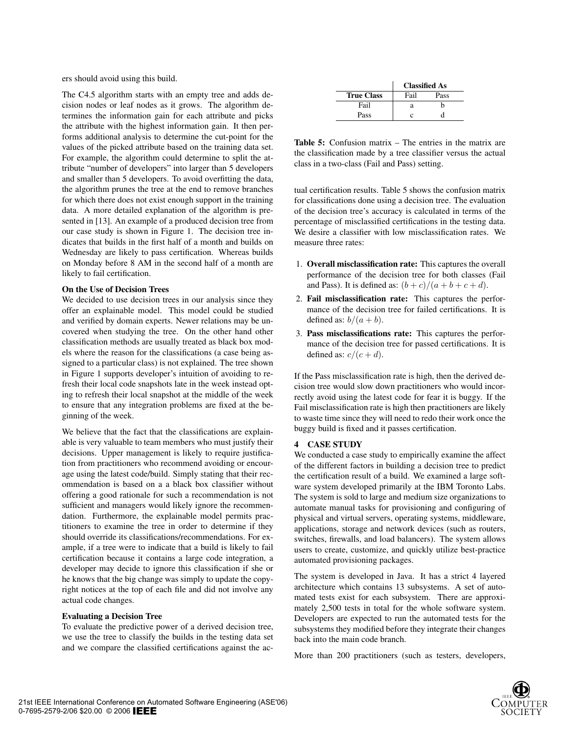ers should avoid using this build.

The C4.5 algorithm starts with an empty tree and adds decision nodes or leaf nodes as it grows. The algorithm determines the information gain for each attribute and picks the attribute with the highest information gain. It then performs additional analysis to determine the cut-point for the values of the picked attribute based on the training data set. For example, the algorithm could determine to split the attribute "number of developers" into larger than 5 developers and smaller than 5 developers. To avoid overfitting the data, the algorithm prunes the tree at the end to remove branches for which there does not exist enough support in the training data. A more detailed explanation of the algorithm is presented in [13]. An example of a produced decision tree from our case study is shown in Figure 1. The decision tree indicates that builds in the first half of a month and builds on Wednesday are likely to pass certification. Whereas builds on Monday before 8 AM in the second half of a month are likely to fail certification.

## **On the Use of Decision Trees**

We decided to use decision trees in our analysis since they offer an explainable model. This model could be studied and verified by domain experts. Newer relations may be uncovered when studying the tree. On the other hand other classification methods are usually treated as black box models where the reason for the classifications (a case being assigned to a particular class) is not explained. The tree shown in Figure 1 supports developer's intuition of avoiding to refresh their local code snapshots late in the week instead opting to refresh their local snapshot at the middle of the week to ensure that any integration problems are fixed at the beginning of the week.

We believe that the fact that the classifications are explainable is very valuable to team members who must justify their decisions. Upper management is likely to require justification from practitioners who recommend avoiding or encourage using the latest code/build. Simply stating that their recommendation is based on a a black box classifier without offering a good rationale for such a recommendation is not sufficient and managers would likely ignore the recommendation. Furthermore, the explainable model permits practitioners to examine the tree in order to determine if they should override its classifications/recommendations. For example, if a tree were to indicate that a build is likely to fail certification because it contains a large code integration, a developer may decide to ignore this classification if she or he knows that the big change was simply to update the copyright notices at the top of each file and did not involve any actual code changes.

#### **Evaluating a Decision Tree**

To evaluate the predictive power of a derived decision tree, we use the tree to classify the builds in the testing data set and we compare the classified certifications against the ac-

|                   | <b>Classified As</b> |      |  |
|-------------------|----------------------|------|--|
| <b>True Class</b> | Fail                 | Pass |  |
| Fail              | а                    | n    |  |
| Pass              | c                    |      |  |

**Table 5:** Confusion matrix – The entries in the matrix are the classification made by a tree classifier versus the actual class in a two-class (Fail and Pass) setting.

tual certification results. Table 5 shows the confusion matrix for classifications done using a decision tree. The evaluation of the decision tree's accuracy is calculated in terms of the percentage of misclassified certifications in the testing data. We desire a classifier with low misclassification rates. We measure three rates:

- 1. **Overall misclassification rate:** This captures the overall performance of the decision tree for both classes (Fail and Pass). It is defined as:  $(b + c)/(a + b + c + d)$ .
- 2. **Fail misclassification rate:** This captures the performance of the decision tree for failed certifications. It is defined as:  $b/(a + b)$ .
- 3. **Pass misclassifications rate:** This captures the performance of the decision tree for passed certifications. It is defined as:  $c/(c+d)$ .

If the Pass misclassification rate is high, then the derived decision tree would slow down practitioners who would incorrectly avoid using the latest code for fear it is buggy. If the Fail misclassification rate is high then practitioners are likely to waste time since they will need to redo their work once the buggy build is fixed and it passes certification.

## **4 CASE STUDY**

We conducted a case study to empirically examine the affect of the different factors in building a decision tree to predict the certification result of a build. We examined a large software system developed primarily at the IBM Toronto Labs. The system is sold to large and medium size organizations to automate manual tasks for provisioning and configuring of physical and virtual servers, operating systems, middleware, applications, storage and network devices (such as routers, switches, firewalls, and load balancers). The system allows users to create, customize, and quickly utilize best-practice automated provisioning packages.

The system is developed in Java. It has a strict 4 layered architecture which contains 13 subsystems. A set of automated tests exist for each subsystem. There are approximately 2,500 tests in total for the whole software system. Developers are expected to run the automated tests for the subsystems they modified before they integrate their changes back into the main code branch.

More than 200 practitioners (such as testers, developers,

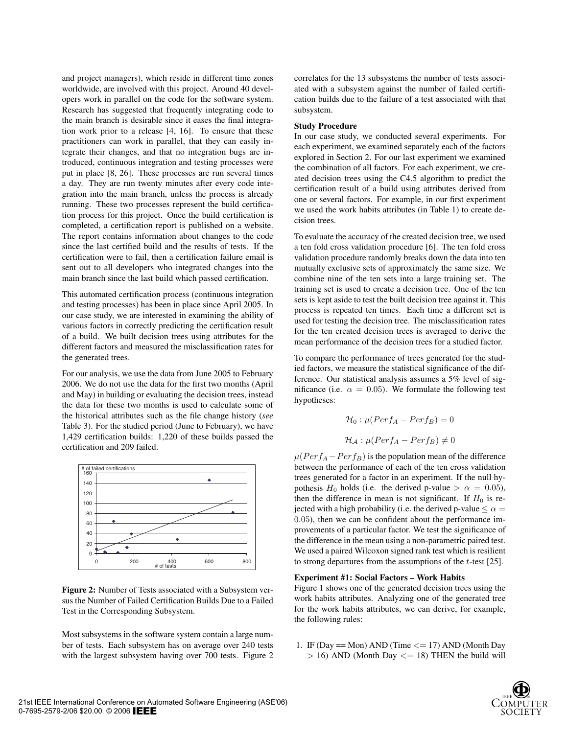and project managers), which reside in different time zones worldwide, are involved with this project. Around 40 developers work in parallel on the code for the software system. Research has suggested that frequently integrating code to the main branch is desirable since it eases the final integration work prior to a release [4, 16]. To ensure that these practitioners can work in parallel, that they can easily integrate their changes, and that no integration bugs are introduced, continuous integration and testing processes were put in place [8, 26]. These processes are run several times a day. They are run twenty minutes after every code integration into the main branch, unless the process is already running. These two processes represent the build certification process for this project. Once the build certification is completed, a certification report is published on a website. The report contains information about changes to the code since the last certified build and the results of tests. If the certification were to fail, then a certification failure email is sent out to all developers who integrated changes into the main branch since the last build which passed certification.

This automated certification process (continuous integration and testing processes) has been in place since April 2005. In our case study, we are interested in examining the ability of various factors in correctly predicting the certification result of a build. We built decision trees using attributes for the different factors and measured the misclassification rates for the generated trees.

For our analysis, we use the data from June 2005 to February 2006. We do not use the data for the first two months (April and May) in building or evaluating the decision trees, instead the data for these two months is used to calculate some of the historical attributes such as the file change history (*see* Table 3). For the studied period (June to February), we have 1,429 certification builds: 1,220 of these builds passed the certification and 209 failed.



**Figure 2:** Number of Tests associated with a Subsystem versus the Number of Failed Certification Builds Due to a Failed Test in the Corresponding Subsystem.

Most subsystems in the software system contain a large number of tests. Each subsystem has on average over 240 tests with the largest subsystem having over 700 tests. Figure 2 correlates for the 13 subsystems the number of tests associated with a subsystem against the number of failed certification builds due to the failure of a test associated with that subsystem.

#### **Study Procedure**

In our case study, we conducted several experiments. For each experiment, we examined separately each of the factors explored in Section 2. For our last experiment we examined the combination of all factors. For each experiment, we created decision trees using the C4.5 algorithm to predict the certification result of a build using attributes derived from one or several factors. For example, in our first experiment we used the work habits attributes (in Table 1) to create decision trees.

To evaluate the accuracy of the created decision tree, we used a ten fold cross validation procedure [6]. The ten fold cross validation procedure randomly breaks down the data into ten mutually exclusive sets of approximately the same size. We combine nine of the ten sets into a large training set. The training set is used to create a decision tree. One of the ten sets is kept aside to test the built decision tree against it. This process is repeated ten times. Each time a different set is used for testing the decision tree. The misclassification rates for the ten created decision trees is averaged to derive the mean performance of the decision trees for a studied factor.

To compare the performance of trees generated for the studied factors, we measure the statistical significance of the difference. Our statistical analysis assumes a 5% level of significance (i.e.  $\alpha = 0.05$ ). We formulate the following test hypotheses:

$$
\mathcal{H}_0: \mu(Perf_A - Perf_B) = 0
$$
  

$$
\mathcal{H}_A: \mu(Perf_A - Perf_B) \neq 0
$$

 $\mu(Perf_A -Perf_B)$  is the population mean of the difference between the performance of each of the ten cross validation trees generated for a factor in an experiment. If the null hypothesis  $H_0$  holds (i.e. the derived p-value  $> \alpha = 0.05$ ), then the difference in mean is not significant. If  $H_0$  is rejected with a high probability (i.e. the derived p-value  $\leq \alpha =$ 0.05), then we can be confident about the performance improvements of a particular factor. We test the significance of the difference in the mean using a non-parametric paired test. We used a paired Wilcoxon signed rank test which is resilient to strong departures from the assumptions of the  $t$ -test [25].

#### **Experiment #1: Social Factors – Work Habits**

Figure 1 shows one of the generated decision trees using the work habits attributes. Analyzing one of the generated tree for the work habits attributes, we can derive, for example, the following rules:

1. IF (Day == Mon) AND (Time  $\leq$  = 17) AND (Month Day  $> 16$ ) AND (Month Day  $<= 18$ ) THEN the build will

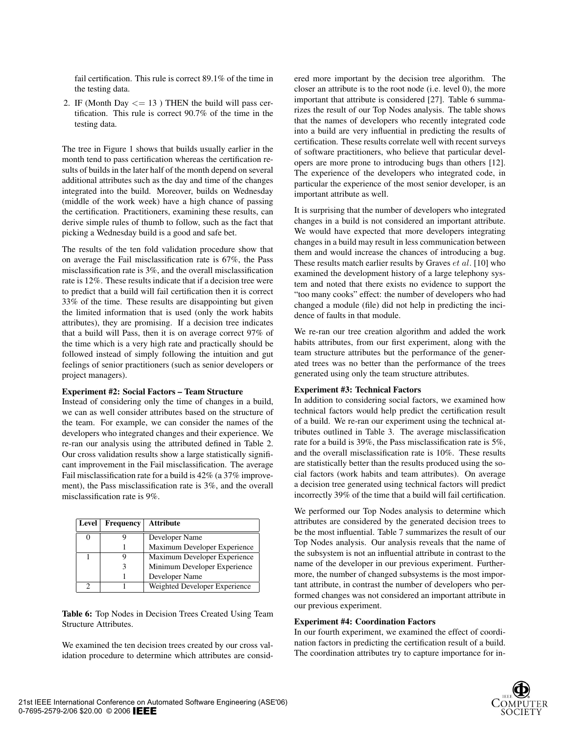fail certification. This rule is correct 89.1% of the time in the testing data.

2. IF (Month Day  $\leq$  = 13) THEN the build will pass certification. This rule is correct 90.7% of the time in the testing data.

The tree in Figure 1 shows that builds usually earlier in the month tend to pass certification whereas the certification results of builds in the later half of the month depend on several additional attributes such as the day and time of the changes integrated into the build. Moreover, builds on Wednesday (middle of the work week) have a high chance of passing the certification. Practitioners, examining these results, can derive simple rules of thumb to follow, such as the fact that picking a Wednesday build is a good and safe bet.

The results of the ten fold validation procedure show that on average the Fail misclassification rate is 67%, the Pass misclassification rate is 3%, and the overall misclassification rate is 12%. These results indicate that if a decision tree were to predict that a build will fail certification then it is correct 33% of the time. These results are disappointing but given the limited information that is used (only the work habits attributes), they are promising. If a decision tree indicates that a build will Pass, then it is on average correct 97% of the time which is a very high rate and practically should be followed instead of simply following the intuition and gut feelings of senior practitioners (such as senior developers or project managers).

### **Experiment #2: Social Factors – Team Structure**

Instead of considering only the time of changes in a build, we can as well consider attributes based on the structure of the team. For example, we can consider the names of the developers who integrated changes and their experience. We re-ran our analysis using the attributed defined in Table 2. Our cross validation results show a large statistically significant improvement in the Fail misclassification. The average Fail misclassification rate for a build is 42% (a 37% improvement), the Pass misclassification rate is 3%, and the overall misclassification rate is 9%.

| Level | Frequency | <b>Attribute</b>              |
|-------|-----------|-------------------------------|
|       |           | Developer Name                |
|       |           | Maximum Developer Experience  |
|       | Q         | Maximum Developer Experience  |
|       | 3         | Minimum Developer Experience  |
|       |           | Developer Name                |
|       |           | Weighted Developer Experience |

**Table 6:** Top Nodes in Decision Trees Created Using Team Structure Attributes.

We examined the ten decision trees created by our cross validation procedure to determine which attributes are considered more important by the decision tree algorithm. The closer an attribute is to the root node (i.e. level 0), the more important that attribute is considered [27]. Table 6 summarizes the result of our Top Nodes analysis. The table shows that the names of developers who recently integrated code into a build are very influential in predicting the results of certification. These results correlate well with recent surveys of software practitioners, who believe that particular developers are more prone to introducing bugs than others [12]. The experience of the developers who integrated code, in particular the experience of the most senior developer, is an important attribute as well.

It is surprising that the number of developers who integrated changes in a build is not considered an important attribute. We would have expected that more developers integrating changes in a build may result in less communication between them and would increase the chances of introducing a bug. These results match earlier results by Graves  $et al.$  [10] who examined the development history of a large telephony system and noted that there exists no evidence to support the "too many cooks" effect: the number of developers who had changed a module (file) did not help in predicting the incidence of faults in that module.

We re-ran our tree creation algorithm and added the work habits attributes, from our first experiment, along with the team structure attributes but the performance of the generated trees was no better than the performance of the trees generated using only the team structure attributes.

### **Experiment #3: Technical Factors**

In addition to considering social factors, we examined how technical factors would help predict the certification result of a build. We re-ran our experiment using the technical attributes outlined in Table 3. The average misclassification rate for a build is 39%, the Pass misclassification rate is 5%, and the overall misclassification rate is 10%. These results are statistically better than the results produced using the social factors (work habits and team attributes). On average a decision tree generated using technical factors will predict incorrectly 39% of the time that a build will fail certification.

We performed our Top Nodes analysis to determine which attributes are considered by the generated decision trees to be the most influential. Table 7 summarizes the result of our Top Nodes analysis. Our analysis reveals that the name of the subsystem is not an influential attribute in contrast to the name of the developer in our previous experiment. Furthermore, the number of changed subsystems is the most important attribute, in contrast the number of developers who performed changes was not considered an important attribute in our previous experiment.

### **Experiment #4: Coordination Factors**

In our fourth experiment, we examined the effect of coordination factors in predicting the certification result of a build. The coordination attributes try to capture importance for in-

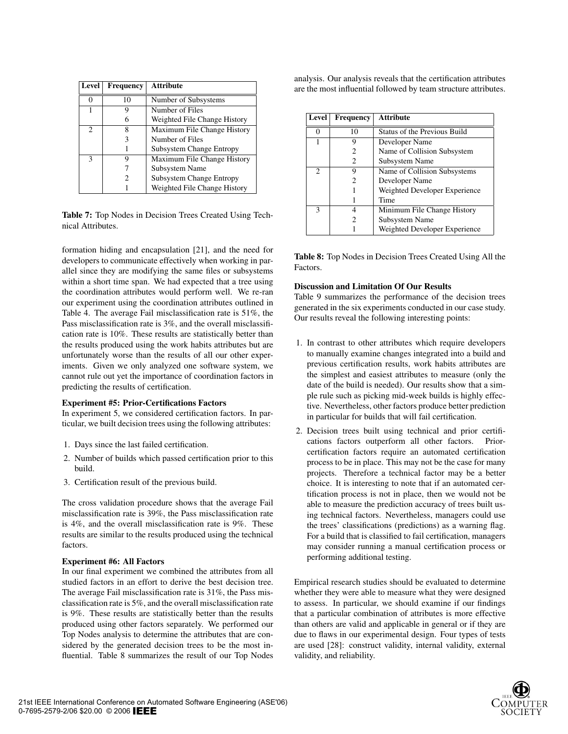| Level                       | Frequency | <b>Attribute</b>                |  |  |
|-----------------------------|-----------|---------------------------------|--|--|
|                             | 10        | Number of Subsystems            |  |  |
|                             | Q         | Number of Files                 |  |  |
|                             |           | Weighted File Change History    |  |  |
| $\mathcal{D}_{\mathcal{L}}$ | 8         | Maximum File Change History     |  |  |
|                             |           | Number of Files                 |  |  |
|                             |           | <b>Subsystem Change Entropy</b> |  |  |
| 3                           | о         | Maximum File Change History     |  |  |
|                             |           | Subsystem Name                  |  |  |
|                             | 7         | <b>Subsystem Change Entropy</b> |  |  |
|                             |           | Weighted File Change History    |  |  |

**Table 7:** Top Nodes in Decision Trees Created Using Technical Attributes.

formation hiding and encapsulation [21], and the need for developers to communicate effectively when working in parallel since they are modifying the same files or subsystems within a short time span. We had expected that a tree using the coordination attributes would perform well. We re-ran our experiment using the coordination attributes outlined in Table 4. The average Fail misclassification rate is 51%, the Pass misclassification rate is 3%, and the overall misclassification rate is 10%. These results are statistically better than the results produced using the work habits attributes but are unfortunately worse than the results of all our other experiments. Given we only analyzed one software system, we cannot rule out yet the importance of coordination factors in predicting the results of certification.

#### **Experiment #5: Prior-Certifications Factors**

In experiment 5, we considered certification factors. In particular, we built decision trees using the following attributes:

- 1. Days since the last failed certification.
- 2. Number of builds which passed certification prior to this build.
- 3. Certification result of the previous build.

The cross validation procedure shows that the average Fail misclassification rate is 39%, the Pass misclassification rate is 4%, and the overall misclassification rate is 9%. These results are similar to the results produced using the technical factors.

#### **Experiment #6: All Factors**

In our final experiment we combined the attributes from all studied factors in an effort to derive the best decision tree. The average Fail misclassification rate is 31%, the Pass misclassification rate is 5%, and the overall misclassification rate is 9%. These results are statistically better than the results produced using other factors separately. We performed our Top Nodes analysis to determine the attributes that are considered by the generated decision trees to be the most influential. Table 8 summarizes the result of our Top Nodes

analysis. Our analysis reveals that the certification attributes are the most influential followed by team structure attributes.

| Level         | <b>Frequency</b> | <b>Attribute</b>              |
|---------------|------------------|-------------------------------|
| 0             | 10               | Status of the Previous Build  |
| 1             | 9                | Developer Name                |
|               | 2                | Name of Collision Subsystem   |
|               | $\mathfrak{D}$   | Subsystem Name                |
| $\mathcal{L}$ | 9                | Name of Collision Subsystems  |
|               | 2                | Developer Name                |
|               |                  | Weighted Developer Experience |
|               |                  | Time                          |
| 3             | 4                | Minimum File Change History   |
|               | 2                | Subsystem Name                |
|               |                  | Weighted Developer Experience |

**Table 8:** Top Nodes in Decision Trees Created Using All the Factors.

#### **Discussion and Limitation Of Our Results**

Table 9 summarizes the performance of the decision trees generated in the six experiments conducted in our case study. Our results reveal the following interesting points:

- 1. In contrast to other attributes which require developers to manually examine changes integrated into a build and previous certification results, work habits attributes are the simplest and easiest attributes to measure (only the date of the build is needed). Our results show that a simple rule such as picking mid-week builds is highly effective. Nevertheless, other factors produce better prediction in particular for builds that will fail certification.
- 2. Decision trees built using technical and prior certifications factors outperform all other factors. Priorcertification factors require an automated certification process to be in place. This may not be the case for many projects. Therefore a technical factor may be a better choice. It is interesting to note that if an automated certification process is not in place, then we would not be able to measure the prediction accuracy of trees built using technical factors. Nevertheless, managers could use the trees' classifications (predictions) as a warning flag. For a build that is classified to fail certification, managers may consider running a manual certification process or performing additional testing.

Empirical research studies should be evaluated to determine whether they were able to measure what they were designed to assess. In particular, we should examine if our findings that a particular combination of attributes is more effective than others are valid and applicable in general or if they are due to flaws in our experimental design. Four types of tests are used [28]: construct validity, internal validity, external validity, and reliability.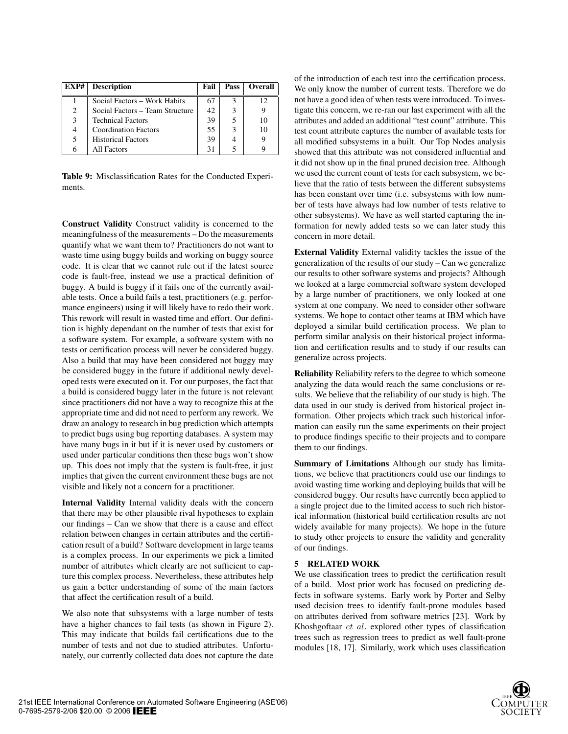| EXP#         | <b>Description</b>              | Fail | Pass | <b>Overall</b> |
|--------------|---------------------------------|------|------|----------------|
|              | Social Factors – Work Habits    |      | 3    | 12             |
| 2            | Social Factors – Team Structure | 42   | 3    |                |
| $\mathbf{3}$ | <b>Technical Factors</b>        | 39   |      | 10             |
| 4            | <b>Coordination Factors</b>     | 55   | 3    | 10             |
| 5            | <b>Historical Factors</b>       | 39   |      |                |
|              | All Factors                     | 31   |      |                |

**Table 9:** Misclassification Rates for the Conducted Experiments.

**Construct Validity** Construct validity is concerned to the meaningfulness of the measurements – Do the measurements quantify what we want them to? Practitioners do not want to waste time using buggy builds and working on buggy source code. It is clear that we cannot rule out if the latest source code is fault-free, instead we use a practical definition of buggy. A build is buggy if it fails one of the currently available tests. Once a build fails a test, practitioners (e.g. performance engineers) using it will likely have to redo their work. This rework will result in wasted time and effort. Our definition is highly dependant on the number of tests that exist for a software system. For example, a software system with no tests or certification process will never be considered buggy. Also a build that may have been considered not buggy may be considered buggy in the future if additional newly developed tests were executed on it. For our purposes, the fact that a build is considered buggy later in the future is not relevant since practitioners did not have a way to recognize this at the appropriate time and did not need to perform any rework. We draw an analogy to research in bug prediction which attempts to predict bugs using bug reporting databases. A system may have many bugs in it but if it is never used by customers or used under particular conditions then these bugs won't show up. This does not imply that the system is fault-free, it just implies that given the current environment these bugs are not visible and likely not a concern for a practitioner.

**Internal Validity** Internal validity deals with the concern that there may be other plausible rival hypotheses to explain our findings – Can we show that there is a cause and effect relation between changes in certain attributes and the certification result of a build? Software development in large teams is a complex process. In our experiments we pick a limited number of attributes which clearly are not sufficient to capture this complex process. Nevertheless, these attributes help us gain a better understanding of some of the main factors that affect the certification result of a build.

We also note that subsystems with a large number of tests have a higher chances to fail tests (as shown in Figure 2). This may indicate that builds fail certifications due to the number of tests and not due to studied attributes. Unfortunately, our currently collected data does not capture the date of the introduction of each test into the certification process. We only know the number of current tests. Therefore we do not have a good idea of when tests were introduced. To investigate this concern, we re-ran our last experiment with all the attributes and added an additional "test count" attribute. This test count attribute captures the number of available tests for all modified subsystems in a built. Our Top Nodes analysis showed that this attribute was not considered influential and it did not show up in the final pruned decision tree. Although we used the current count of tests for each subsystem, we believe that the ratio of tests between the different subsystems has been constant over time (i.e. subsystems with low number of tests have always had low number of tests relative to other subsystems). We have as well started capturing the information for newly added tests so we can later study this concern in more detail.

**External Validity** External validity tackles the issue of the generalization of the results of our study – Can we generalize our results to other software systems and projects? Although we looked at a large commercial software system developed by a large number of practitioners, we only looked at one system at one company. We need to consider other software systems. We hope to contact other teams at IBM which have deployed a similar build certification process. We plan to perform similar analysis on their historical project information and certification results and to study if our results can generalize across projects.

**Reliability** Reliability refers to the degree to which someone analyzing the data would reach the same conclusions or results. We believe that the reliability of our study is high. The data used in our study is derived from historical project information. Other projects which track such historical information can easily run the same experiments on their project to produce findings specific to their projects and to compare them to our findings.

**Summary of Limitations** Although our study has limitations, we believe that practitioners could use our findings to avoid wasting time working and deploying builds that will be considered buggy. Our results have currently been applied to a single project due to the limited access to such rich historical information (historical build certification results are not widely available for many projects). We hope in the future to study other projects to ensure the validity and generality of our findings.

### **5 RELATED WORK**

We use classification trees to predict the certification result of a build. Most prior work has focused on predicting defects in software systems. Early work by Porter and Selby used decision trees to identify fault-prone modules based on attributes derived from software metrics [23]. Work by Khoshgoftaar et al. explored other types of classification trees such as regression trees to predict as well fault-prone modules [18, 17]. Similarly, work which uses classification